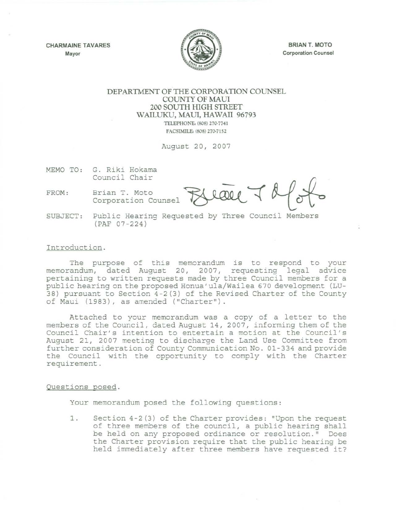CHARMAlNE TAVARES Mayor



BRIAN T. MOTO Corporation Counsel

## DEPARTMENT OF THE CORPORATION COUNSEL COUNTY OF MAUl 200 SOUTH HIGH STREET WAILUKU, MAUI, HAWAII 96793 TELEPHONE: (808) 270-7741 FACSIMILE: (808) 270-7152

August 20, 2007

| MEMO TO: |               |  | G. Riki Hokama |
|----------|---------------|--|----------------|
|          | Council Chair |  |                |

FROM: Brian T. Moto Corporation Counsel

Brease Td

SUBJECT : Public Hearing Requested by Three Council Members (PAF 07-224)

## Introduction .

The purpose of this memorandum is to respond to your memorandum, dated August 20, 2007, requesting legal advice pertaining to written requests made by three Council members for a public hearing on the proposed Honua' ula/Wailea 670 development (LU-38) pursuant to Section 4-2(3) of the Revised Charter of the County of Maui (1983), as amended ("Charter")

Attached to your memorandum was a copy of a letter to the members of the Council, dated August 14,2007, informing them of the Council Chair's intention to entertain a motion at the Council's August 21, 2007 meeting to discharge the Land Use Committee from further consideration of County Communication No. 01-334 and provide the Council with the opportunity to comply with the Charter requirement.

## Questions posed.

Your memorandum posed the following questions:

1 . Section 4-2 (3) of the Charter provides: "Upon the request of three members of the council, a public hearing shall be held on any proposed ordinance or resolution." Does the Charter provision require that the public hearing be held immediately after three members have requested it?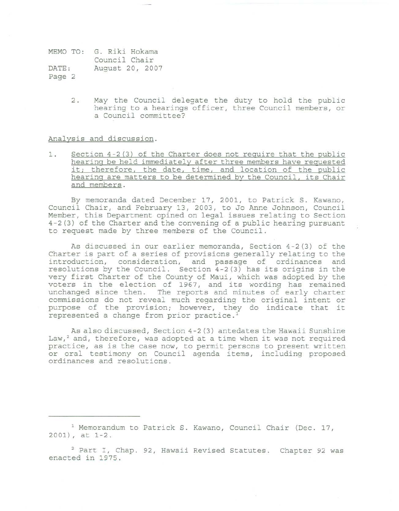|        | MEMO TO: G. Riki Hokama |
|--------|-------------------------|
|        | Council Chair           |
| DATE:  | August 20, 2007         |
| Page 2 |                         |

2. May the Council delegate the duty to hold the public hearing to a hearings officer, three Council members, or a Council committee?

## Analysis and discussion.

1. Section 4-2(3) of the Charter does not require that the public hearing be held immediately after three members have requested it; therefore, the date, time, and location of the public hearing are matters to be determined by the Council, its Chair and members.

By memoranda dated December 17, 2001, to Patrick S. Kawano, Council Chair, and February 13, 2003, to Jo Anne Johnson, Council Member, this Department opined on legal issues relating to Section 4-2 (3) of the Charter and the convening of a public hearing pursuant to request made by three members of the Council.

As discussed in our earlier memoranda, Section 4-2(3) of the Charter is part of a series of provisions generally relating to the introduction, consideration, and passage of ordinances and resolutions by the Council. Section 4-2(3) has its origins in the very first Charter of the County of Maui, which was adopted by the voters in the election of 1967, and its wording has remained unchanged since then. The reports and minutes of early charter commissions do not reveal much regarding the original intent or purpose of the provision; however, they do indicate that it represented a change from prior practice.<sup>1</sup>

As also discussed, Section 4-2 (3) antedates the Hawaii Sunshine Law, $^2$  and, therefore, was adopted at a time when it was not required practice, as is the case now, to permit persons to present written or oral testimony on Council agenda items, including proposed ordinances and resolutions.

<sup>1</sup> Memorandum to Patrick S. Kawano, Council Chair (Dec. 17, 2001), at 1-2.

<sup>2</sup> Part I, Chap. 92, Hawaii Revised Statutes. Chapter 92 was enacted in 1975.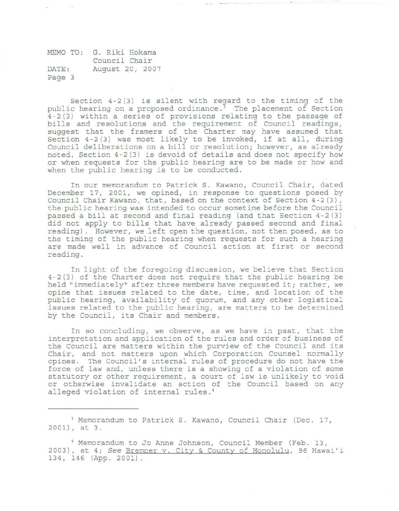MEMO TO: G. Riki Hokama Council Chair DATE , Page 3 August 20, 2007

Section 4-2 (3) is silent with regard to the timing of the public hearing on a proposed ordinance. 3 The placement of Section 4-2(3) within a series of provisions relating to the passage of bills and resolutions and the requirement of Council readings, suggest that the framers of the Charter may have assumed that Section 4-2 (3) was most likely to be invoked, if at all, during Council deliberations on a bill or resolution; however, as already noted, Section 4-2(3) is devoid of details and does not specify how or when requests for the public hearing are to be made or how and when the public hearing is to be conducted.

In our memorandum to Patrick S. Kawano, Council Chair, dated December 17, 2001, we opined, in response to questions posed by Council Chair Kawano, that, based on the context of Section 4-2(3), the public hearing was intended to occur sometime before the Council passed a bill at second and final reading (and that Section 4-2(3) did not apply to bills that have already passed second and final reading). However, we left open the question, not then posed, as to the timing of the public hearing when requests for such a hearing are made well in advance of Council action at first or second reading.

In light of the foregoing discussion, we believe that Section 4-2 (3) of the Charter does not require that the public hearing be held "immediately" after three members have requested it; rather, we opine that issues related to the date, time, and location of the public hearing, availability of quorum, and any other logistical issues related to the public hearing, are matters to be determined by the Council, its Chair and members .

In so concluding, we observe, as we have in past, that the interpretation and application of the rules and order of business of the Council are matters within the purview of the Council and its Chair, and not matters upon which Corporation Counsel normally opines. The Council's internal rules of procedure do not have the force of law and, unless there is a showing of a violation of some statutory or other requirement, a court of law is unlikely to void or otherwise invalidate an action of the Council based on any alleged violation of internal rules. <sup>4</sup>

<sup>)</sup> Memorandum to Patrick S. Kawano, Council Chair (Dec. 17, 2001),at3 .

<sup>&</sup>lt;sup>4</sup> Memorandum to Jo Anne Johnson, Council Member (Feb. 13, 2003), at 4; *See* Bremner v. City & County of Honolulu, 96 Hawai'i 134, 146 (App. 2001).